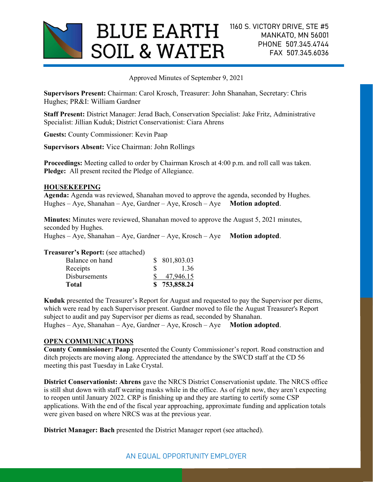

Approved Minutes of September 9, 2021

Supervisors Present: Chairman: Carol Krosch, Treasurer: John Shanahan, Secretary: Chris Hughes; PR&I: William Gardner

Staff Present: District Manager: Jerad Bach, Conservation Specialist: Jake Fritz, Administrative Specialist: Jillian Kuduk; District Conservationist: Ciara Ahrens

Guests: County Commissioner: Kevin Paap

Supervisors Absent: Vice Chairman: John Rollings

Proceedings: Meeting called to order by Chairman Krosch at 4:00 p.m. and roll call was taken. Pledge: All present recited the Pledge of Allegiance.

# HOUSEKEEPING

Agenda: Agenda was reviewed, Shanahan moved to approve the agenda, seconded by Hughes. Hughes – Aye, Shanahan – Aye, Gardner – Aye, Krosch – Aye Motion adopted.

Minutes: Minutes were reviewed, Shanahan moved to approve the August 5, 2021 minutes, seconded by Hughes.

Hughes – Aye, Shanahan – Aye, Gardner – Aye, Krosch – Aye Motion adopted.

Treasurer's Report: (see attached)

| Total                |   | \$753,858.24  |
|----------------------|---|---------------|
| <b>Disbursements</b> |   | 47,946.15     |
| Receipts             | € | 1.36          |
| Balance on hand      |   | \$ 801,803.03 |

Kuduk presented the Treasurer's Report for August and requested to pay the Supervisor per diems, which were read by each Supervisor present. Gardner moved to file the August Treasurer's Report subject to audit and pay Supervisor per diems as read, seconded by Shanahan. Hughes – Aye, Shanahan – Aye, Gardner – Aye, Krosch – Aye Motion adopted.

# OPEN COMMUNICATIONS

County Commissioner: Paap presented the County Commissioner's report. Road construction and ditch projects are moving along. Appreciated the attendance by the SWCD staff at the CD 56 meeting this past Tuesday in Lake Crystal.

District Conservationist: Ahrens gave the NRCS District Conservationist update. The NRCS office is still shut down with staff wearing masks while in the office. As of right now, they aren't expecting to reopen until January 2022. CRP is finishing up and they are starting to certify some CSP applications. With the end of the fiscal year approaching, approximate funding and application totals were given based on where NRCS was at the previous year.

District Manager: Bach presented the District Manager report (see attached).